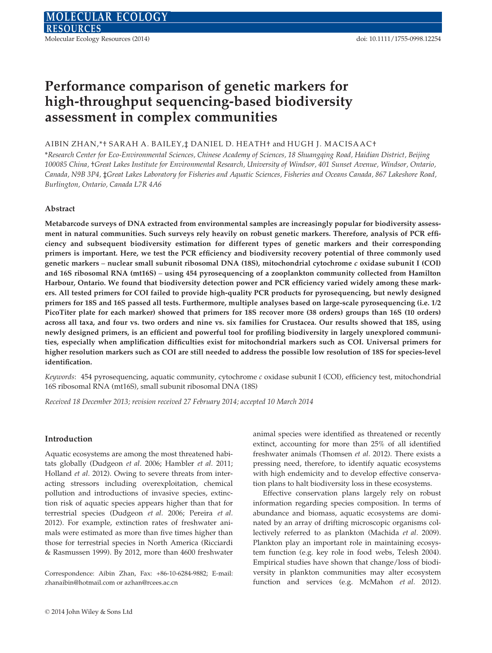# Performance comparison of genetic markers for high-throughput sequencing-based biodiversity assessment in complex communities

# AIBIN ZHAN,\*† SARAH A. BAILEY, ‡ DANIEL D. HEATH† and HUGH J. MACISAAC+

\*Research Center for Eco-Environmental Sciences, Chinese Academy of Sciences, 18 Shuangqing Road, Haidian District, Beijing 100085 China, †Great Lakes Institute for Environmental Research, University of Windsor, 401 Sunset Avenue, Windsor, Ontario, Canada, N9B 3P4, ‡Great Lakes Laboratory for Fisheries and Aquatic Sciences, Fisheries and Oceans Canada, 867 Lakeshore Road, Burlington, Ontario, Canada L7R 4A6

#### Abstract

Metabarcode surveys of DNA extracted from environmental samples are increasingly popular for biodiversity assessment in natural communities. Such surveys rely heavily on robust genetic markers. Therefore, analysis of PCR efficiency and subsequent biodiversity estimation for different types of genetic markers and their corresponding primers is important. Here, we test the PCR efficiency and biodiversity recovery potential of three commonly used genetic markers – nuclear small subunit ribosomal DNA (18S), mitochondrial cytochrome c oxidase subunit I (COI) and 16S ribosomal RNA (mt16S) – using 454 pyrosequencing of a zooplankton community collected from Hamilton Harbour, Ontario. We found that biodiversity detection power and PCR efficiency varied widely among these markers. All tested primers for COI failed to provide high-quality PCR products for pyrosequencing, but newly designed primers for 18S and 16S passed all tests. Furthermore, multiple analyses based on large-scale pyrosequencing (i.e. 1/2 PicoTiter plate for each marker) showed that primers for 18S recover more (38 orders) groups than 16S (10 orders) across all taxa, and four vs. two orders and nine vs. six families for Crustacea. Our results showed that 18S, using newly designed primers, is an efficient and powerful tool for profiling biodiversity in largely unexplored communities, especially when amplification difficulties exist for mitochondrial markers such as COI. Universal primers for higher resolution markers such as COI are still needed to address the possible low resolution of 18S for species-level identification.

Keywords: 454 pyrosequencing, aquatic community, cytochrome c oxidase subunit I (COI), efficiency test, mitochondrial 16S ribosomal RNA (mt16S), small subunit ribosomal DNA (18S)

Received 18 December 2013; revision received 27 February 2014; accepted 10 March 2014

#### Introduction

Aquatic ecosystems are among the most threatened habitats globally (Dudgeon et al. 2006; Hambler et al. 2011; Holland et al. 2012). Owing to severe threats from interacting stressors including overexploitation, chemical pollution and introductions of invasive species, extinction risk of aquatic species appears higher than that for terrestrial species (Dudgeon et al. 2006; Pereira et al. 2012). For example, extinction rates of freshwater animals were estimated as more than five times higher than those for terrestrial species in North America (Ricciardi & Rasmussen 1999). By 2012, more than 4600 freshwater

Correspondence: Aibin Zhan, Fax: +86-10-6284-9882; E-mail: zhanaibin@hotmail.com or azhan@rcees.ac.cn

animal species were identified as threatened or recently extinct, accounting for more than 25% of all identified freshwater animals (Thomsen et al. 2012). There exists a pressing need, therefore, to identify aquatic ecosystems with high endemicity and to develop effective conservation plans to halt biodiversity loss in these ecosystems.

Effective conservation plans largely rely on robust information regarding species composition. In terms of abundance and biomass, aquatic ecosystems are dominated by an array of drifting microscopic organisms collectively referred to as plankton (Machida et al. 2009). Plankton play an important role in maintaining ecosystem function (e.g. key role in food webs, Telesh 2004). Empirical studies have shown that change/loss of biodiversity in plankton communities may alter ecosystem function and services (e.g. McMahon et al. 2012).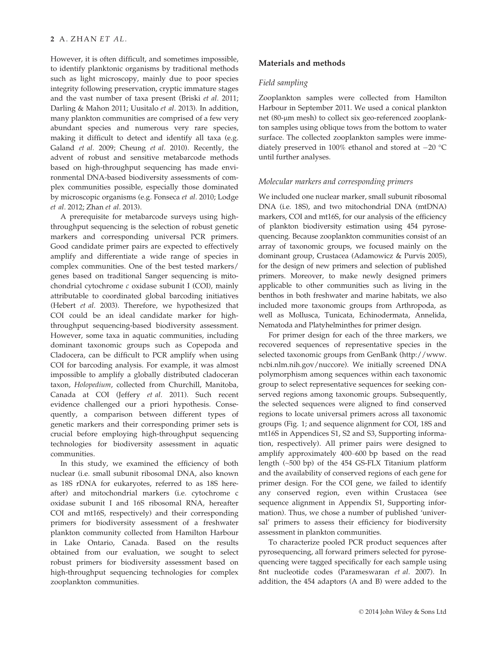However, it is often difficult, and sometimes impossible, to identify planktonic organisms by traditional methods such as light microscopy, mainly due to poor species integrity following preservation, cryptic immature stages and the vast number of taxa present (Briski et al. 2011; Darling & Mahon 2011; Uusitalo et al. 2013). In addition, many plankton communities are comprised of a few very abundant species and numerous very rare species, making it difficult to detect and identify all taxa (e.g. Galand et al. 2009; Cheung et al. 2010). Recently, the advent of robust and sensitive metabarcode methods based on high-throughput sequencing has made environmental DNA-based biodiversity assessments of complex communities possible, especially those dominated by microscopic organisms (e.g. Fonseca et al. 2010; Lodge et al. 2012; Zhan et al. 2013).

A prerequisite for metabarcode surveys using highthroughput sequencing is the selection of robust genetic markers and corresponding universal PCR primers. Good candidate primer pairs are expected to effectively amplify and differentiate a wide range of species in complex communities. One of the best tested markers/ genes based on traditional Sanger sequencing is mitochondrial cytochrome c oxidase subunit I (COI), mainly attributable to coordinated global barcoding initiatives (Hebert et al. 2003). Therefore, we hypothesized that COI could be an ideal candidate marker for highthroughput sequencing-based biodiversity assessment. However, some taxa in aquatic communities, including dominant taxonomic groups such as Copepoda and Cladocera, can be difficult to PCR amplify when using COI for barcoding analysis. For example, it was almost impossible to amplify a globally distributed cladoceran taxon, Holopedium, collected from Churchill, Manitoba, Canada at COI (Jeffery et al. 2011). Such recent evidence challenged our a priori hypothesis. Consequently, a comparison between different types of genetic markers and their corresponding primer sets is crucial before employing high-throughput sequencing technologies for biodiversity assessment in aquatic communities.

In this study, we examined the efficiency of both nuclear (i.e. small subunit ribosomal DNA, also known as 18S rDNA for eukaryotes, referred to as 18S hereafter) and mitochondrial markers (i.e. cytochrome c oxidase subunit I and 16S ribosomal RNA, hereafter COI and mt16S, respectively) and their corresponding primers for biodiversity assessment of a freshwater plankton community collected from Hamilton Harbour in Lake Ontario, Canada. Based on the results obtained from our evaluation, we sought to select robust primers for biodiversity assessment based on high-throughput sequencing technologies for complex zooplankton communities.

# Materials and methods

#### Field sampling

Zooplankton samples were collected from Hamilton Harbour in September 2011. We used a conical plankton net (80-µm mesh) to collect six geo-referenced zooplankton samples using oblique tows from the bottom to water surface. The collected zooplankton samples were immediately preserved in 100% ethanol and stored at  $-20$  °C until further analyses.

#### Molecular markers and corresponding primers

We included one nuclear marker, small subunit ribosomal DNA (i.e. 18S), and two mitochondrial DNA (mtDNA) markers, COI and mt16S, for our analysis of the efficiency of plankton biodiversity estimation using 454 pyrosequencing. Because zooplankton communities consist of an array of taxonomic groups, we focused mainly on the dominant group, Crustacea (Adamowicz & Purvis 2005), for the design of new primers and selection of published primers. Moreover, to make newly designed primers applicable to other communities such as living in the benthos in both freshwater and marine habitats, we also included more taxonomic groups from Arthropoda, as well as Mollusca, Tunicata, Echinodermata, Annelida, Nematoda and Platyhelminthes for primer design.

For primer design for each of the three markers, we recovered sequences of representative species in the selected taxonomic groups from GenBank (http://www. ncbi.nlm.nih.gov/nuccore). We initially screened DNA polymorphism among sequences within each taxonomic group to select representative sequences for seeking conserved regions among taxonomic groups. Subsequently, the selected sequences were aligned to find conserved regions to locate universal primers across all taxonomic groups (Fig. 1; and sequence alignment for COI, 18S and mt16S in Appendices S1, S2 and S3, Supporting information, respectively). All primer pairs were designed to amplify approximately 400–600 bp based on the read length (~500 bp) of the 454 GS-FLX Titanium platform and the availability of conserved regions of each gene for primer design. For the COI gene, we failed to identify any conserved region, even within Crustacea (see sequence alignment in Appendix S1, Supporting information). Thus, we chose a number of published 'universal' primers to assess their efficiency for biodiversity assessment in plankton communities.

To characterize pooled PCR product sequences after pyrosequencing, all forward primers selected for pyrosequencing were tagged specifically for each sample using 8nt nucleotide codes (Parameswaran et al. 2007). In addition, the 454 adaptors (A and B) were added to the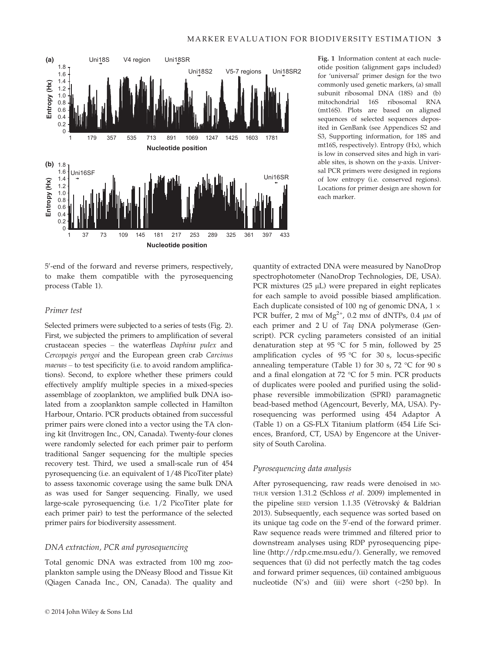

5'-end of the forward and reverse primers, respectively, to make them compatible with the pyrosequencing process (Table 1).

# Primer test

Selected primers were subjected to a series of tests (Fig. 2). First, we subjected the primers to amplification of several crustacean species – the waterfleas Daphina pulex and Cercopagis pengoi and the European green crab Carcinus maenas – to test specificity (i.e. to avoid random amplifications). Second, to explore whether these primers could effectively amplify multiple species in a mixed-species assemblage of zooplankton, we amplified bulk DNA isolated from a zooplankton sample collected in Hamilton Harbour, Ontario. PCR products obtained from successful primer pairs were cloned into a vector using the TA cloning kit (Invitrogen Inc., ON, Canada). Twenty-four clones were randomly selected for each primer pair to perform traditional Sanger sequencing for the multiple species recovery test. Third, we used a small-scale run of 454 pyrosequencing (i.e. an equivalent of 1/48 PicoTiter plate) to assess taxonomic coverage using the same bulk DNA as was used for Sanger sequencing. Finally, we used large-scale pyrosequencing (i.e. 1/2 PicoTiter plate for each primer pair) to test the performance of the selected primer pairs for biodiversity assessment.

## DNA extraction, PCR and pyrosequencing

Total genomic DNA was extracted from 100 mg zooplankton sample using the DNeasy Blood and Tissue Kit (Qiagen Canada Inc., ON, Canada). The quality and

Fig. 1 Information content at each nucleotide position (alignment gaps included) for 'universal' primer design for the two commonly used genetic markers, (a) small subunit ribosomal DNA (18S) and (b) mitochondrial 16S ribosomal RNA (mt16S). Plots are based on aligned sequences of selected sequences deposited in GenBank (see Appendices S2 and S3, Supporting information, for 18S and mt16S, respectively). Entropy (Hx), which is low in conserved sites and high in variable sites, is shown on the y-axis. Universal PCR primers were designed in regions of low entropy (i.e. conserved regions). Locations for primer design are shown for each marker.

quantity of extracted DNA were measured by NanoDrop spectrophotometer (NanoDrop Technologies, DE, USA). PCR mixtures  $(25 \mu L)$  were prepared in eight replicates for each sample to avoid possible biased amplification. Each duplicate consisted of 100 ng of genomic DNA, 1  $\times$ PCR buffer, 2 mm of  $Mg^{2+}$ , 0.2 mm of dNTPs, 0.4 µm of each primer and 2 U of Taq DNA polymerase (Genscript). PCR cycling parameters consisted of an initial denaturation step at 95 °C for 5 min, followed by 25 amplification cycles of 95 °C for 30 s, locus-specific annealing temperature (Table 1) for 30 s, 72 °C for 90 s and a final elongation at 72 °C for 5 min. PCR products of duplicates were pooled and purified using the solidphase reversible immobilization (SPRI) paramagnetic bead-based method (Agencourt, Beverly, MA, USA). Pyrosequencing was performed using 454 Adaptor A (Table 1) on a GS-FLX Titanium platform (454 Life Sciences, Branford, CT, USA) by Engencore at the University of South Carolina.

# Pyrosequencing data analysis

After pyrosequencing, raw reads were denoised in MO-THUR version 1.31.2 (Schloss et al. 2009) implemented in the pipeline SEED version 1.1.35 (Větrovský & Baldrian 2013). Subsequently, each sequence was sorted based on its unique tag code on the 5'-end of the forward primer. Raw sequence reads were trimmed and filtered prior to downstream analyses using RDP pyrosequencing pipeline (http://rdp.cme.msu.edu/). Generally, we removed sequences that (i) did not perfectly match the tag codes and forward primer sequences, (ii) contained ambiguous nucleotide  $(N's)$  and (iii) were short  $(\leq 250$  bp). In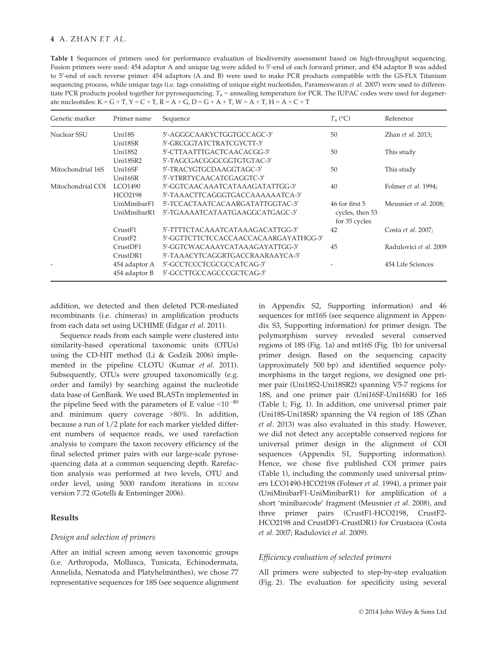Table 1 Sequences of primers used for performance evaluation of biodiversity assessment based on high-throughput sequencing. Fusion primers were used: 454 adaptor A and unique tag were added to 5′-end of each forward primer, and 454 adaptor B was added to 5'-end of each reverse primer. 454 adaptors (A and B) were used to make PCR products compatible with the GS-FLX Titanium sequencing process, while unique tags (i.e. tags consisting of unique eight nucleotides, Parameswaran et al. 2007) were used to differentiate PCR products pooled together for pyrosequencing.  $T_a$  = annealing temperature for PCR. The IUPAC codes were used for degenerate nucleotides:  $K = G + T$ ,  $Y = C + T$ ,  $R = A + G$ ,  $D = G + A + T$ ,  $W = A + T$ ,  $H = A + C + T$ 

| Genetic marker    | Primer name          | Sequence                              | $T_{\rm a}$ (°C)                 | Reference              |
|-------------------|----------------------|---------------------------------------|----------------------------------|------------------------|
| Nuclear SSU       | Uni18S               | 5'-AGGGCAAKYCTGGTGCCAGC-3'            | 50                               | Zhan et al. 2013;      |
|                   | Uni18SR              | 5'-GRCGGTATCTRATCGYCTT-3'             |                                  |                        |
|                   | Uni18S2              | 5'-CTTAATTTGACTCAACACGG-3'            | 50                               | This study             |
|                   | Uni18SR2             | 5'-TAGCGACGGGCGGTGTGTAC-3'            |                                  |                        |
| Mitochondrial 16S | Uni16SF              | 5'-TRACYGTGCDAAGGTAGC-3'              | 50                               | This study             |
|                   | Uni16SR              | 5'-YTRRTYCAACATCGAGGTC-3'             |                                  |                        |
| Mitochondrial COI | LCO1490              | 5'-GGTCAACAAATCATAAAGATATTGG-3'       | 40                               | Folmer et al. 1994;    |
|                   | HCO2198              | 5'-TAAACTTCAGGGTGACCAAAAAATCA-3'      |                                  |                        |
|                   | UniMinibarF1         | 5'-TCCACTAATCACAARGATATTGGTAC-3'      | 46 for first 5                   | Meusnier et al. 2008;  |
|                   | UniMinibarR1         | 5'-TGAAAATCATAATGAAGGCATGAGC-3'       | cycles, then 53<br>for 35 cycles |                        |
|                   | CrustF1              | 5'-TTTTCTACAAATCATAAAGACATTGG-3'      | 42                               | Costa et al. 2007;     |
|                   | CrustF2              | 5'-GGTTCTTCTCCACCAACCACAARGAYATHGG-3' |                                  |                        |
|                   | Crust <sub>DF1</sub> | 5'-GGTCWACAAAYCATAAAGAYATTGG-3'       | 45                               | Radulovici et al. 2009 |
|                   | Crust <sub>DR1</sub> | 5'-TAAACYTCAGGRTGACCRAARAAYCA-3'      |                                  |                        |
|                   | 454 adaptor A        | 5'-GCCTCCCTCGCGCCATCAG-3'             |                                  | 454 Life Sciences      |
|                   | 454 adaptor B        | 5'-GCCTTGCCAGCCCGCTCAG-3'             |                                  |                        |

addition, we detected and then deleted PCR-mediated recombinants (i.e. chimeras) in amplification products from each data set using UCHIME (Edgar et al. 2011).

Sequence reads from each sample were clustered into similarity-based operational taxonomic units (OTUs) using the CD-HIT method (Li & Godzik 2006) implemented in the pipeline CLOTU (Kumar et al. 2011). Subsequently, OTUs were grouped taxonomically (e.g. order and family) by searching against the nucleotide data base of GenBank. We used BLASTn implemented in the pipeline Seed with the parameters of E value  $\leq 10^{-80}$ and minimum query coverage >80%. In addition, because a run of 1/2 plate for each marker yielded different numbers of sequence reads, we used rarefaction analysis to compare the taxon recovery efficiency of the final selected primer pairs with our large-scale pyrosequencing data at a common sequencing depth. Rarefaction analysis was performed at two levels, OTU and order level, using 5000 random iterations in ECOSIM version 7.72 (Gotelli & Entsminger 2006).

## Results

## Design and selection of primers

After an initial screen among seven taxonomic groups (i.e. Arthropoda, Mollusca, Tunicata, Echinodermata, Annelida, Nematoda and Platyhelminthes), we chose 77 representative sequences for 18S (see sequence alignment in Appendix S2, Supporting information) and 46 sequences for mt16S (see sequence alignment in Appendix S3, Supporting information) for primer design. The polymorphism survey revealed several conserved regions of 18S (Fig. 1a) and mt16S (Fig. 1b) for universal primer design. Based on the sequencing capacity (approximately 500 bp) and identified sequence polymorphisms in the target regions, we designed one primer pair (Uni18S2-Uni18SR2) spanning V5-7 regions for 18S, and one primer pair (Uni16SF-Uni16SR) for 16S (Table 1; Fig. 1). In addition, one universal primer pair (Uni18S-Uni18SR) spanning the V4 region of 18S (Zhan et al. 2013) was also evaluated in this study. However, we did not detect any acceptable conserved regions for universal primer design in the alignment of COI sequences (Appendix S1, Supporting information). Hence, we chose five published COI primer pairs (Table 1), including the commonly used universal primers LCO1490-HCO2198 (Folmer et al. 1994), a primer pair (UniMinibarF1-UniMinibarR1) for amplification of a short 'minibarcode' fragment (Meusnier et al. 2008), and three primer pairs (CrustF1-HCO2198, CrustF2- HCO2198 and CrustDF1-CrustDR1) for Crustacea (Costa et al. 2007; Radulovici et al. 2009).

# Efficiency evaluation of selected primers

All primers were subjected to step-by-step evaluation (Fig. 2). The evaluation for specificity using several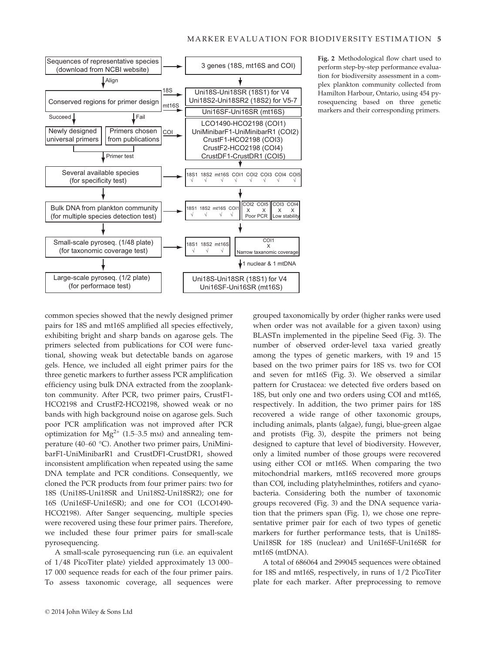

Fig. 2 Methodological flow chart used to perform step-by-step performance evaluation for biodiversity assessment in a complex plankton community collected from Hamilton Harbour, Ontario, using 454 pyrosequencing based on three genetic markers and their corresponding primers.

common species showed that the newly designed primer pairs for 18S and mt16S amplified all species effectively, exhibiting bright and sharp bands on agarose gels. The primers selected from publications for COI were functional, showing weak but detectable bands on agarose gels. Hence, we included all eight primer pairs for the three genetic markers to further assess PCR amplification efficiency using bulk DNA extracted from the zooplankton community. After PCR, two primer pairs, CrustF1- HCO2198 and CrustF2-HCO2198, showed weak or no bands with high background noise on agarose gels. Such poor PCR amplification was not improved after PCR optimization for  $Mg^{2+}$  (1.5–3.5 mm) and annealing temperature (40–60 °C). Another two primer pairs, UniMinibarF1-UniMinibarR1 and CrustDF1-CrustDR1, showed inconsistent amplification when repeated using the same DNA template and PCR conditions. Consequently, we cloned the PCR products from four primer pairs: two for 18S (Uni18S-Uni18SR and Uni18S2-Uni18SR2); one for 16S (Uni16SF-Uni16SR); and one for CO1 (LCO1490- HCO2198). After Sanger sequencing, multiple species were recovered using these four primer pairs. Therefore, we included these four primer pairs for small-scale pyrosequencing.

A small-scale pyrosequencing run (i.e. an equivalent of 1/48 PicoTiter plate) yielded approximately 13 000– 17 000 sequence reads for each of the four primer pairs. To assess taxonomic coverage, all sequences were grouped taxonomically by order (higher ranks were used when order was not available for a given taxon) using BLASTn implemented in the pipeline Seed (Fig. 3). The number of observed order-level taxa varied greatly among the types of genetic markers, with 19 and 15 based on the two primer pairs for 18S vs. two for COI and seven for mt16S (Fig. 3). We observed a similar pattern for Crustacea: we detected five orders based on 18S, but only one and two orders using COI and mt16S, respectively. In addition, the two primer pairs for 18S recovered a wide range of other taxonomic groups, including animals, plants (algae), fungi, blue-green algae and protists (Fig. 3), despite the primers not being designed to capture that level of biodiversity. However, only a limited number of those groups were recovered using either COI or mt16S. When comparing the two mitochondrial markers, mt16S recovered more groups than COI, including platyhelminthes, rotifers and cyanobacteria. Considering both the number of taxonomic groups recovered (Fig. 3) and the DNA sequence variation that the primers span (Fig. 1), we chose one representative primer pair for each of two types of genetic markers for further performance tests, that is Uni18S-Uni18SR for 18S (nuclear) and Uni16SF-Uni16SR for mt16S (mtDNA).

A total of 686064 and 299045 sequences were obtained for 18S and mt16S, respectively, in runs of 1/2 PicoTiter plate for each marker. After preprocessing to remove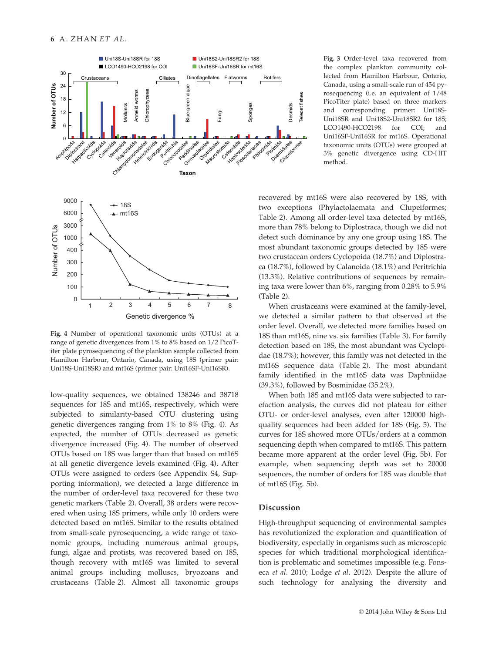

Fig. 4 Number of operational taxonomic units (OTUs) at a range of genetic divergences from 1% to 8% based on 1/2 PicoTiter plate pyrosequencing of the plankton sample collected from Hamilton Harbour, Ontario, Canada, using 18S (primer pair: Uni18S-Uni18SR) and mt16S (primer pair: Uni16SF-Uni16SR).

low-quality sequences, we obtained 138246 and 38718 sequences for 18S and mt16S, respectively, which were subjected to similarity-based OTU clustering using genetic divergences ranging from 1% to 8% (Fig. 4). As expected, the number of OTUs decreased as genetic divergence increased (Fig. 4). The number of observed OTUs based on 18S was larger than that based on mt16S at all genetic divergence levels examined (Fig. 4). After OTUs were assigned to orders (see Appendix S4, Supporting information), we detected a large difference in the number of order-level taxa recovered for these two genetic markers (Table 2). Overall, 38 orders were recovered when using 18S primers, while only 10 orders were detected based on mt16S. Similar to the results obtained from small-scale pyrosequencing, a wide range of taxonomic groups, including numerous animal groups, fungi, algae and protists, was recovered based on 18S, though recovery with mt16S was limited to several animal groups including molluscs, bryozoans and crustaceans (Table 2). Almost all taxonomic groups

Fig. 3 Order-level taxa recovered from the complex plankton community collected from Hamilton Harbour, Ontario, Canada, using a small-scale run of 454 pyrosequencing (i.e. an equivalent of 1/48 PicoTiter plate) based on three markers and corresponding primer: Uni18S-Uni18SR and Uni18S2-Uni18SR2 for 18S; LCO1490-HCO2198 for COI; and Uni16SF-Uni16SR for mt16S. Operational taxonomic units (OTUs) were grouped at 3% genetic divergence using CD-HIT method.

recovered by mt16S were also recovered by 18S, with two exceptions (Phylactolaemata and Clupeiformes; Table 2). Among all order-level taxa detected by mt16S, more than 78% belong to Diplostraca, though we did not detect such dominance by any one group using 18S. The most abundant taxonomic groups detected by 18S were two crustacean orders Cyclopoida (18.7%) and Diplostraca (18.7%), followed by Calanoida (18.1%) and Peritrichia (13.3%). Relative contributions of sequences by remaining taxa were lower than 6%, ranging from 0.28% to 5.9%

Teleost fishes

**Teleost fishes** 

When crustaceans were examined at the family-level, we detected a similar pattern to that observed at the order level. Overall, we detected more families based on 18S than mt16S, nine vs. six families (Table 3). For family detection based on 18S, the most abundant was Cyclopidae (18.7%); however, this family was not detected in the mt16S sequence data (Table 2). The most abundant family identified in the mt16S data was Daphniidae (39.3%), followed by Bosminidae (35.2%).

When both 18S and mt16S data were subjected to rarefaction analysis, the curves did not plateau for either OTU- or order-level analyses, even after 120000 highquality sequences had been added for 18S (Fig. 5). The curves for 18S showed more OTUs/orders at a common sequencing depth when compared to mt16S. This pattern became more apparent at the order level (Fig. 5b). For example, when sequencing depth was set to 20000 sequences, the number of orders for 18S was double that of mt16S (Fig. 5b).

# Discussion

High-throughput sequencing of environmental samples has revolutionized the exploration and quantification of biodiversity, especially in organisms such as microscopic species for which traditional morphological identification is problematic and sometimes impossible (e.g. Fonseca et al. 2010; Lodge et al. 2012). Despite the allure of such technology for analysing the diversity and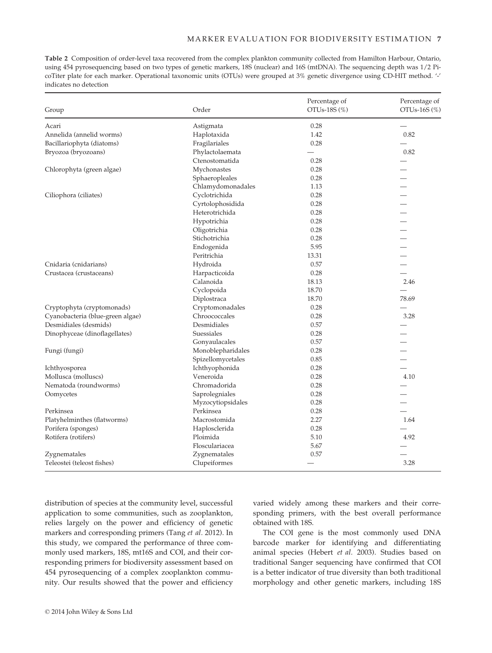Table 2 Composition of order-level taxa recovered from the complex plankton community collected from Hamilton Harbour, Ontario, using 454 pyrosequencing based on two types of genetic markers, 18S (nuclear) and 16S (mtDNA). The sequencing depth was 1/2 PicoTiter plate for each marker. Operational taxonomic units (OTUs) were grouped at 3% genetic divergence using CD-HIT method. '-' indicates no detection

| Group                            | Order             | Percentage of<br>OTUs-18S (%) | Percentage of<br>OTU <sub>s</sub> -16S (%) |
|----------------------------------|-------------------|-------------------------------|--------------------------------------------|
| Acari                            | Astigmata         | 0.28                          |                                            |
| Annelida (annelid worms)         | Haplotaxida       | 1.42                          | 0.82                                       |
| Bacillariophyta (diatoms)        | Fragilariales     | 0.28                          |                                            |
| Bryozoa (bryozoans)              | Phylactolaemata   |                               | 0.82                                       |
|                                  | Ctenostomatida    | 0.28                          |                                            |
| Chlorophyta (green algae)        | Mychonastes       | 0.28                          |                                            |
|                                  | Sphaeropleales    | 0.28                          |                                            |
|                                  | Chlamydomonadales | 1.13                          |                                            |
| Ciliophora (ciliates)            | Cyclotrichida     | 0.28                          |                                            |
|                                  | Cyrtolophosidida  | 0.28                          |                                            |
|                                  | Heterotrichida    | 0.28                          |                                            |
|                                  | Hypotrichia       | 0.28                          |                                            |
|                                  | Oligotrichia      | 0.28                          |                                            |
|                                  | Stichotrichia     | 0.28                          |                                            |
|                                  | Endogenida        | 5.95                          |                                            |
|                                  | Peritrichia       | 13.31                         |                                            |
| Cnidaria (cnidarians)            | Hydroida          | 0.57                          |                                            |
| Crustacea (crustaceans)          | Harpacticoida     | 0.28                          |                                            |
|                                  | Calanoida         | 18.13                         | 2.46                                       |
|                                  | Cyclopoida        | 18.70                         |                                            |
|                                  | Diplostraca       | 18.70                         | 78.69                                      |
| Cryptophyta (cryptomonads)       | Cryptomonadales   | 0.28                          |                                            |
| Cyanobacteria (blue-green algae) | Chroococcales     | 0.28                          | 3.28                                       |
| Desmidiales (desmids)            | Desmidiales       | 0.57                          |                                            |
| Dinophyceae (dinoflagellates)    | Suessiales        | 0.28                          |                                            |
|                                  | Gonyaulacales     | 0.57                          |                                            |
| Fungi (fungi)                    | Monoblepharidales | 0.28                          |                                            |
|                                  | Spizellomycetales | 0.85                          |                                            |
| Ichthyosporea                    | Ichthyophonida    | 0.28                          |                                            |
| Mollusca (molluscs)              | Veneroida         | 0.28                          | 4.10                                       |
| Nematoda (roundworms)            | Chromadorida      | 0.28                          |                                            |
| Oomycetes                        | Saprolegniales    | 0.28                          |                                            |
|                                  | Myzocytiopsidales | 0.28                          |                                            |
| Perkinsea                        | Perkinsea         | 0.28                          |                                            |
| Platyhelminthes (flatworms)      | Macrostomida      | 2.27                          | 1.64                                       |
| Porifera (sponges)               | Haplosclerida     | 0.28                          |                                            |
| Rotifera (rotifers)              | Ploimida          | 5.10                          | 4.92                                       |
|                                  | Flosculariacea    | 5.67                          |                                            |
| Zygnematales                     | Zygnematales      | 0.57                          |                                            |
| Teleostei (teleost fishes)       | Clupeiformes      |                               | 3.28                                       |
|                                  |                   |                               |                                            |

distribution of species at the community level, successful application to some communities, such as zooplankton, relies largely on the power and efficiency of genetic markers and corresponding primers (Tang et al. 2012). In this study, we compared the performance of three commonly used markers, 18S, mt16S and COI, and their corresponding primers for biodiversity assessment based on 454 pyrosequencing of a complex zooplankton community. Our results showed that the power and efficiency

varied widely among these markers and their corresponding primers, with the best overall performance obtained with 18S.

The COI gene is the most commonly used DNA barcode marker for identifying and differentiating animal species (Hebert et al. 2003). Studies based on traditional Sanger sequencing have confirmed that COI is a better indicator of true diversity than both traditional morphology and other genetic markers, including 18S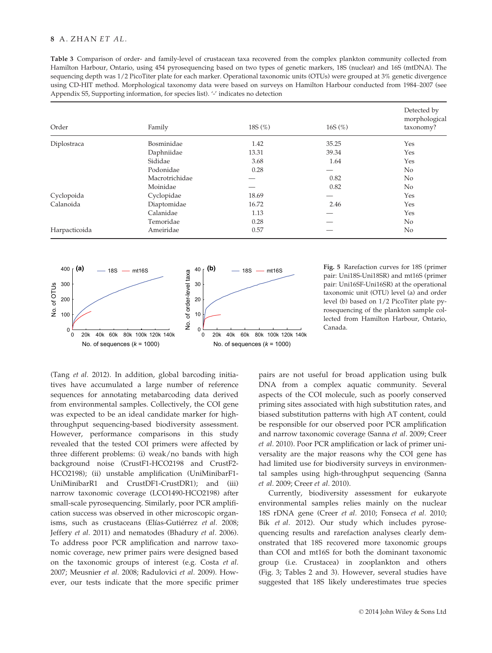Table 3 Comparison of order- and family-level of crustacean taxa recovered from the complex plankton community collected from Hamilton Harbour, Ontario, using 454 pyrosequencing based on two types of genetic markers, 18S (nuclear) and 16S (mtDNA). The sequencing depth was 1/2 PicoTiter plate for each marker. Operational taxonomic units (OTUs) were grouped at 3% genetic divergence using CD-HIT method. Morphological taxonomy data were based on surveys on Hamilton Harbour conducted from 1984–2007 (see Appendix S5, Supporting information, for species list). '-' indicates no detection

| Order         | Family         | 18S $(\%)$ | 16S $(\%)$ | Detected by<br>morphological<br>taxonomy? |
|---------------|----------------|------------|------------|-------------------------------------------|
| Diplostraca   | Bosminidae     | 1.42       | 35.25      | Yes                                       |
|               | Daphniidae     | 13.31      | 39.34      | Yes                                       |
|               | Sididae        | 3.68       | 1.64       | Yes                                       |
|               | Podonidae      | 0.28       |            | No                                        |
|               | Macrotrichidae |            | 0.82       | No                                        |
|               | Moinidae       |            | 0.82       | No.                                       |
| Cyclopoida    | Cyclopidae     | 18.69      |            | Yes                                       |
| Calanoida     | Diaptomidae    | 16.72      | 2.46       | Yes                                       |
|               | Calanidae      | 1.13       |            | Yes                                       |
|               | Temoridae      | 0.28       |            | No                                        |
| Harpacticoida | Ameiridae      | 0.57       |            | No                                        |



pair: Uni18S-Uni18SR) and mt16S (primer pair: Uni16SF-Uni16SR) at the operational taxonomic unit (OTU) level (a) and order level (b) based on 1/2 PicoTiter plate pyrosequencing of the plankton sample collected from Hamilton Harbour, Ontario, Canada.

(Tang et al. 2012). In addition, global barcoding initiatives have accumulated a large number of reference sequences for annotating metabarcoding data derived from environmental samples. Collectively, the COI gene was expected to be an ideal candidate marker for highthroughput sequencing-based biodiversity assessment. However, performance comparisons in this study revealed that the tested COI primers were affected by three different problems: (i) weak/no bands with high background noise (CrustF1-HCO2198 and CrustF2- HCO2198); (ii) unstable amplification (UniMinibarF1- UniMinibarR1 and CrustDF1-CrustDR1); and (iii) narrow taxonomic coverage (LCO1490-HCO2198) after small-scale pyrosequencing. Similarly, poor PCR amplification success was observed in other microscopic organisms, such as crustaceans (Elías-Gutiérrez et al. 2008; Jeffery et al. 2011) and nematodes (Bhadury et al. 2006). To address poor PCR amplification and narrow taxonomic coverage, new primer pairs were designed based on the taxonomic groups of interest (e.g. Costa et al. 2007; Meusnier et al. 2008; Radulovici et al. 2009). However, our tests indicate that the more specific primer

pairs are not useful for broad application using bulk DNA from a complex aquatic community. Several aspects of the COI molecule, such as poorly conserved priming sites associated with high substitution rates, and biased substitution patterns with high AT content, could be responsible for our observed poor PCR amplification and narrow taxonomic coverage (Sanna et al. 2009; Creer et al. 2010). Poor PCR amplification or lack of primer universality are the major reasons why the COI gene has had limited use for biodiversity surveys in environmental samples using high-throughput sequencing (Sanna et al. 2009; Creer et al. 2010).

Currently, biodiversity assessment for eukaryote environmental samples relies mainly on the nuclear 18S rDNA gene (Creer et al. 2010; Fonseca et al. 2010; Bik et al. 2012). Our study which includes pyrosequencing results and rarefaction analyses clearly demonstrated that 18S recovered more taxonomic groups than COI and mt16S for both the dominant taxonomic group (i.e. Crustacea) in zooplankton and others (Fig. 3; Tables 2 and 3). However, several studies have suggested that 18S likely underestimates true species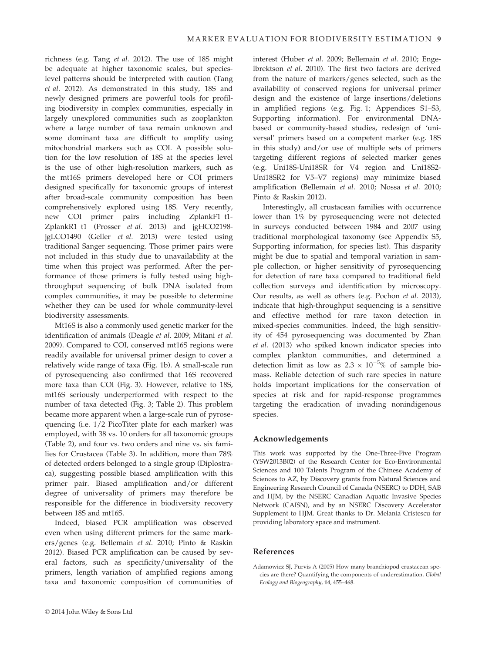richness (e.g. Tang et al. 2012). The use of 18S might be adequate at higher taxonomic scales, but specieslevel patterns should be interpreted with caution (Tang et al. 2012). As demonstrated in this study, 18S and newly designed primers are powerful tools for profiling biodiversity in complex communities, especially in largely unexplored communities such as zooplankton where a large number of taxa remain unknown and some dominant taxa are difficult to amplify using mitochondrial markers such as COI. A possible solution for the low resolution of 18S at the species level is the use of other high-resolution markers, such as the mt16S primers developed here or COI primers designed specifically for taxonomic groups of interest after broad-scale community composition has been comprehensively explored using 18S. Very recently, new COI primer pairs including ZplankF1\_t1- ZplankR1\_t1 (Prosser et al. 2013) and jgHCO2198 jgLCO1490 (Geller et al. 2013) were tested using traditional Sanger sequencing. Those primer pairs were not included in this study due to unavailability at the time when this project was performed. After the performance of those primers is fully tested using highthroughput sequencing of bulk DNA isolated from complex communities, it may be possible to determine whether they can be used for whole community-level biodiversity assessments.

Mt16S is also a commonly used genetic marker for the identification of animals (Deagle et al. 2009; Mitani et al. 2009). Compared to COI, conserved mt16S regions were readily available for universal primer design to cover a relatively wide range of taxa (Fig. 1b). A small-scale run of pyrosequencing also confirmed that 16S recovered more taxa than COI (Fig. 3). However, relative to 18S, mt16S seriously underperformed with respect to the number of taxa detected (Fig. 3; Table 2). This problem became more apparent when a large-scale run of pyrosequencing (i.e. 1/2 PicoTiter plate for each marker) was employed, with 38 vs. 10 orders for all taxonomic groups (Table 2), and four vs. two orders and nine vs. six families for Crustacea (Table 3). In addition, more than 78% of detected orders belonged to a single group (Diplostraca), suggesting possible biased amplification with this primer pair. Biased amplification and/or different degree of universality of primers may therefore be responsible for the difference in biodiversity recovery between 18S and mt16S.

Indeed, biased PCR amplification was observed even when using different primers for the same markers/genes (e.g. Bellemain et al. 2010; Pinto & Raskin 2012). Biased PCR amplification can be caused by several factors, such as specificity/universality of the primers, length variation of amplified regions among taxa and taxonomic composition of communities of

interest (Huber et al. 2009; Bellemain et al. 2010; Engelbrektson et al. 2010). The first two factors are derived from the nature of markers/genes selected, such as the availability of conserved regions for universal primer design and the existence of large insertions/deletions in amplified regions (e.g. Fig. 1; Appendices S1–S3, Supporting information). For environmental DNAbased or community-based studies, redesign of 'universal' primers based on a competent marker (e.g. 18S in this study) and/or use of multiple sets of primers targeting different regions of selected marker genes (e.g. Uni18S-Uni18SR for V4 region and Uni18S2- Uni18SR2 for V5–V7 regions) may minimize biased amplification (Bellemain et al. 2010; Nossa et al. 2010; Pinto & Raskin 2012).

Interestingly, all crustacean families with occurrence lower than 1% by pyrosequencing were not detected in surveys conducted between 1984 and 2007 using traditional morphological taxonomy (see Appendix S5, Supporting information, for species list). This disparity might be due to spatial and temporal variation in sample collection, or higher sensitivity of pyrosequencing for detection of rare taxa compared to traditional field collection surveys and identification by microscopy. Our results, as well as others (e.g. Pochon et al. 2013), indicate that high-throughput sequencing is a sensitive and effective method for rare taxon detection in mixed-species communities. Indeed, the high sensitivity of 454 pyrosequencing was documented by Zhan et al. (2013) who spiked known indicator species into complex plankton communities, and determined a detection limit as low as  $2.3 \times 10^{-5}$ % of sample biomass. Reliable detection of such rare species in nature holds important implications for the conservation of species at risk and for rapid-response programmes targeting the eradication of invading nonindigenous species.

## Acknowledgements

This work was supported by the One-Three-Five Program (YSW2013B02) of the Research Center for Eco-Environmental Sciences and 100 Talents Program of the Chinese Academy of Sciences to AZ, by Discovery grants from Natural Sciences and Engineering Research Council of Canada (NSERC) to DDH, SAB and HJM, by the NSERC Canadian Aquatic Invasive Species Network (CAISN), and by an NSERC Discovery Accelerator Supplement to HJM. Great thanks to Dr. Melania Cristescu for providing laboratory space and instrument.

## References

Adamowicz SJ, Purvis A (2005) How many branchiopod crustacean species are there? Quantifying the components of underestimation. Global Ecology and Biogeography, 14, 455–468.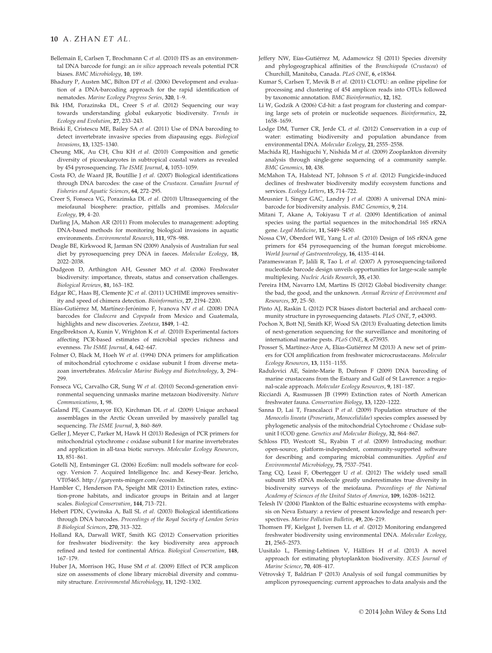- Bellemain E, Carlsen T, Brochmann C et al. (2010) ITS as an environmental DNA barcode for fungi: an in silico approach reveals potential PCR biases. BMC Microbiology, 10, 189.
- Bhadury P, Austen MC, Bilton DT et al. (2006) Development and evaluation of a DNA-barcoding approach for the rapid identification of nematodes. Marine Ecology Progress Series, 320, 1–9.
- Bik HM, Porazinska DL, Creer S et al. (2012) Sequencing our way towards understanding global eukaryotic biodiversity. Trends in Ecology and Evolution, 27, 233–243.
- Briski E, Cristescu ME, Bailey SA et al. (2011) Use of DNA barcoding to detect invertebrate invasive species from diapausing eggs. Biological Invasions, 13, 1325–1340.
- Cheung MK, Au CH, Chu KH et al. (2010) Composition and genetic diversity of picoeukaryotes in subtropical coastal waters as revealed by 454 pyrosequencing. The ISME Journal, 4, 1053–1059.
- Costa FO, de Waard JR, Boutillie J et al. (2007) Biological identifications through DNA barcodes: the case of the Crustacea. Canadian Journal of Fisheries and Aquatic Sciences, 64, 272–295.
- Creer S, Fonseca VG, Porazinska DL et al. (2010) Ultrasequencing of the meiofaunal biosphere: practice, pitfalls and promises. Molecular Ecology, 19, 4–20.
- Darling JA, Mahon AR (2011) From molecules to management: adopting DNA-based methods for monitoring biological invasions in aquatic environments. Environmental Research, 111, 978–988.
- Deagle BE, Kirkwood R, Jarman SN (2009) Analysis of Australian fur seal diet by pyrosequencing prey DNA in faeces. Molecular Ecology, 18, 2022–2038.
- Dudgeon D, Arthington AH, Gessner MO et al. (2006) Freshwater biodiversity: importance, threats, status and conservation challenges. Biological Reviews, 81, 163–182.
- Edgar RC, Haas BJ, Clemente JC et al. (2011) UCHIME improves sensitivity and speed of chimera detection. Bioinformatics, 27, 2194–2200.
- Elías-Gutiérrez M, Martínez-Jerónimo F, Ivanova NV et al. (2008) DNA barcodes for Cladocera and Copepoda from Mexico and Guatemala, highlights and new discoveries. Zootaxa, 1849, 1–42.
- Engelbrektson A, Kunin V, Wrighton K et al. (2010) Experimental factors affecting PCR-based estimates of microbial species richness and evenness. The ISME Journal, 4, 642–647.
- Folmer O, Black M, Hoeh W et al. (1994) DNA primers for amplification of mitochondrial cytochrome c oxidase subunit I from diverse metazoan invertebrates. Molecular Marine Biology and Biotechnology, 3, 294– 299.
- Fonseca VG, Carvalho GR, Sung W et al. (2010) Second-generation environmental sequencing unmasks marine metazoan biodiversity. Nature Communications, 1, 98.
- Galand PE, Casamayor EO, Kirchman DL et al. (2009) Unique archaeal assemblages in the Arctic Ocean unveiled by massively parallel tag sequencing. The ISME Journal, 3, 860-869.
- Geller J, Meyer C, Parker M, Hawk H (2013) Redesign of PCR primers for mitochondrial cytochrome c oxidase subunit I for marine invertebrates and application in all-taxa biotic surveys. Molecular Ecology Resources, 13, 851–861.
- Gotelli NJ, Entsminger GL (2006) EcoSim: null models software for ecology. Version 7. Acquired Intelligence Inc. and Kesey-Bear. Jericho, VT05465. http://garyents-minger.com/ecosim.ht.
- Hambler C, Henderson PA, Speight MR (2011) Extinction rates, extinction-prone habitats, and indicator groups in Britain and at larger scales. Biological Conservation, 144, 713–721.
- Hebert PDN, Cywinska A, Ball SL et al. (2003) Biological identifications through DNA barcodes. Proceedings of the Royal Society of London Series B Biological Sciences, 270, 313–322.
- Holland RA, Darwall WRT, Smith KG (2012) Conservation priorities for freshwater biodiversity: the key biodiversity area approach refined and tested for continental Africa. Biological Conservation, 148, 167–179.
- Huber JA, Morrison HG, Huse SM et al. (2009) Effect of PCR amplicon size on assessments of clone library microbial diversity and community structure. Environmental Microbiology, 11, 1292–1302.
- Jeffery NW, Eías-Gutiérrez M, Adamowicz SJ (2011) Species diversity and phylogeographical affinities of the Branchiopoda (Crustacea) of Churchill, Manitoba, Canada. PLoS ONE, 6, e18364.
- Kumar S, Carlsen T, Mevik B et al. (2011) CLOTU: an online pipeline for processing and clustering of 454 amplicon reads into OTUs followed by taxonomic annotation. BMC Bioinformatics, 12, 182.
- Li W, Godzik A (2006) Cd-hit: a fast program for clustering and comparing large sets of protein or nucleotide sequences. Bioinformatics, 22, 1658–1659.
- Lodge DM, Turner CR, Jerde CL et al. (2012) Conservation in a cup of water: estimating biodiversity and population abundance from environmental DNA. Molecular Ecology, 21, 2555-2558.
- Machida RJ, Hashiguchi Y, Nishida M et al. (2009) Zooplankton diversity analysis through single-gene sequencing of a community sample. BMC Genomics, 10, 438.
- McMahon TA, Halstead NT, Johnson S et al. (2012) Fungicide-induced declines of freshwater biodiversity modify ecosystem functions and services. Ecology Letters, 15, 714-722.
- Meusnier I, Singer GAC, Landry J et al. (2008) A universal DNA minibarcode for biodiversity analysis. BMC Genomics, 9, 214.
- Mitani T, Akane A, Tokiyasu T et al. (2009) Identification of animal species using the partial sequences in the mitochondrial 16S rRNA gene. Legal Medicine, 11, S449–S450.
- Nossa CW, Oberdorf WE, Yang L et al. (2010) Design of 16S rRNA gene primers for 454 pyrosequencing of the human foregut microbiome. World Journal of Gastroenterology, 16, 4135–4144.
- Parameswaran P, Jalili R, Tao L et al. (2007) A pyrosequencing-tailored nucleotide barcode design unveils opportunities for large-scale sample multiplexing. Nucleic Acids Research, 35, e130.
- Pereira HM, Navarro LM, Martins IS (2012) Global biodiversity change: the bad, the good, and the unknown. Annual Review of Environment and Resources, 37, 25–50.
- Pinto AJ, Raskin L (2012) PCR biases distort bacterial and archaeal community structure in pyrosequencing datasets. PLoS ONE, 7, e43093.
- Pochon X, Bott NJ, Smith KF, Wood SA (2013) Evaluating detection limits of next-generation sequencing for the surveillance and monitoring of international marine pests. PLoS ONE, 8, e73935.
- Prosser S, Martínez-Arce A, Elías-Gutiérrez M (2013) A new set of primers for COI amplification from freshwater microcrustaceans. Molecular Ecology Resources, 13, 1151–1155.
- Radulovici AE, Sainte-Marie B, Dufresn F (2009) DNA barcoding of marine crustaceans from the Estuary and Gulf of St Lawrence: a regional-scale approach. Molecular Ecology Resources, 9, 181–187.
- Ricciardi A, Rasmussen JB (1999) Extinction rates of North American freshwater fauna. Conservation Biology, 13, 1220–1222.
- Sanna D, Lai T, Francalacci P et al. (2009) Population structure of the Monocelis lineata (Proseriata, Monocelididae) species complex assessed by phylogenetic analysis of the mitochondrial Cytochrome c Oxidase subunit I (COI) gene. Genetics and Molecular Biology, 32, 864-867.
- Schloss PD, Westcott SL, Ryabin T et al. (2009) Introducing mothur: open-source, platform-independent, community-supported software for describing and comparing microbial communities. Applied and Environmental Microbiology, 75, 7537–7541.
- Tang CQ, Leasi F, Obertegger U et al. (2012) The widely used small subunit 18S rDNA molecule greatly underestimates true diversity in biodiversity surveys of the meiofauna. Proceedings of the National Academy of Sciences of the United States of America, 109, 16208-16212.
- Telesh IV (2004) Plankton of the Baltic estuarine ecosystems with emphasis on Neva Estuary: a review of present knowledge and research perspectives. Marine Pollution Bulletin, 49, 206–219.
- Thomsen PF, Kielgast J, Iversen LL et al. (2012) Monitoring endangered freshwater biodiversity using environmental DNA. Molecular Ecology, 21, 2565–2573.
- Uusitalo L, Fleming-Lehtinen V, Hällfors H et al. (2013) A novel approach for estimating phytoplankton biodiversity. ICES Journal of Marine Science, 70, 408–417.
- Vetrovsky T, Baldrian P (2013) Analysis of soil fungal communities by amplicon pyrosequencing: current approaches to data analysis and the